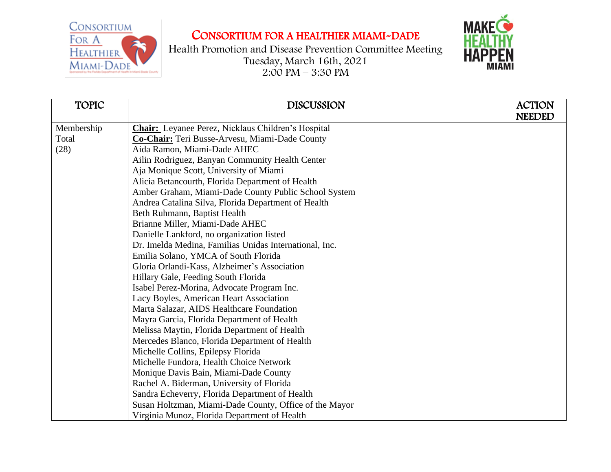CONSORTIUM FOR A **HEALTHIER** MIAMI-DADE

## CONSORTIUM FOR A HEALTHIER MIAMI-DADE

Health Promotion and Disease Prevention Committee Meeting Tuesday, March 16th, 2021  $2:00 \text{ PM} - 3:30 \text{ PM}$ 



| <b>TOPIC</b> | <b>DISCUSSION</b>                                         | <b>ACTION</b> |
|--------------|-----------------------------------------------------------|---------------|
|              |                                                           | <b>NEEDED</b> |
| Membership   | <b>Chair:</b> Leyanee Perez, Nicklaus Children's Hospital |               |
| Total        | Co-Chair: Teri Busse-Arvesu, Miami-Dade County            |               |
| (28)         | Aida Ramon, Miami-Dade AHEC                               |               |
|              | Ailin Rodriguez, Banyan Community Health Center           |               |
|              | Aja Monique Scott, University of Miami                    |               |
|              | Alicia Betancourth, Florida Department of Health          |               |
|              | Amber Graham, Miami-Dade County Public School System      |               |
|              | Andrea Catalina Silva, Florida Department of Health       |               |
|              | Beth Ruhmann, Baptist Health                              |               |
|              | Brianne Miller, Miami-Dade AHEC                           |               |
|              | Danielle Lankford, no organization listed                 |               |
|              | Dr. Imelda Medina, Familias Unidas International, Inc.    |               |
|              | Emilia Solano, YMCA of South Florida                      |               |
|              | Gloria Orlandi-Kass, Alzheimer's Association              |               |
|              | Hillary Gale, Feeding South Florida                       |               |
|              | Isabel Perez-Morina, Advocate Program Inc.                |               |
|              | Lacy Boyles, American Heart Association                   |               |
|              | Marta Salazar, AIDS Healthcare Foundation                 |               |
|              | Mayra Garcia, Florida Department of Health                |               |
|              | Melissa Maytin, Florida Department of Health              |               |
|              | Mercedes Blanco, Florida Department of Health             |               |
|              | Michelle Collins, Epilepsy Florida                        |               |
|              | Michelle Fundora, Health Choice Network                   |               |
|              | Monique Davis Bain, Miami-Dade County                     |               |
|              | Rachel A. Biderman, University of Florida                 |               |
|              | Sandra Echeverry, Florida Department of Health            |               |
|              | Susan Holtzman, Miami-Dade County, Office of the Mayor    |               |
|              | Virginia Munoz, Florida Department of Health              |               |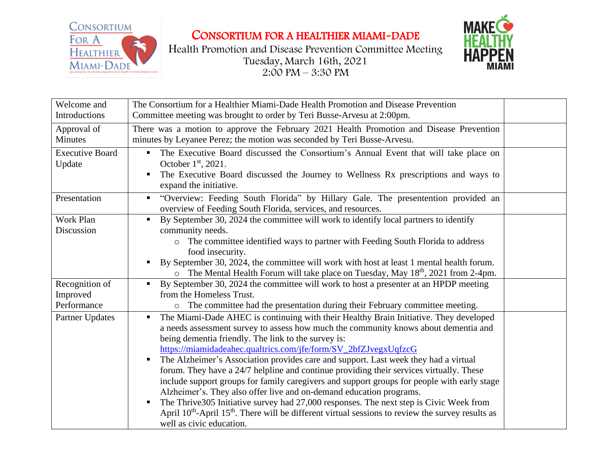

CONSORTIUM FOR A HEALTHIER MIAMI-DADE





| Welcome and<br>Introductions              | The Consortium for a Healthier Miami-Dade Health Promotion and Disease Prevention<br>Committee meeting was brought to order by Teri Busse-Arvesu at 2:00pm.                                                                                                                                                                                                                                                                                                                                                                                                                                                                                                                                                                                                                                                                                                                                                                 |  |
|-------------------------------------------|-----------------------------------------------------------------------------------------------------------------------------------------------------------------------------------------------------------------------------------------------------------------------------------------------------------------------------------------------------------------------------------------------------------------------------------------------------------------------------------------------------------------------------------------------------------------------------------------------------------------------------------------------------------------------------------------------------------------------------------------------------------------------------------------------------------------------------------------------------------------------------------------------------------------------------|--|
| Approval of<br>Minutes                    | There was a motion to approve the February 2021 Health Promotion and Disease Prevention<br>minutes by Leyanee Perez; the motion was seconded by Teri Busse-Arvesu.                                                                                                                                                                                                                                                                                                                                                                                                                                                                                                                                                                                                                                                                                                                                                          |  |
| <b>Executive Board</b><br>Update          | The Executive Board discussed the Consortium's Annual Event that will take place on<br>$\blacksquare$<br>October 1 <sup>st</sup> , 2021.<br>The Executive Board discussed the Journey to Wellness Rx prescriptions and ways to<br>expand the initiative.                                                                                                                                                                                                                                                                                                                                                                                                                                                                                                                                                                                                                                                                    |  |
| Presentation                              | "Overview: Feeding South Florida" by Hillary Gale. The presentention provided an<br>overview of Feeding South Florida, services, and resources.                                                                                                                                                                                                                                                                                                                                                                                                                                                                                                                                                                                                                                                                                                                                                                             |  |
| Work Plan<br>Discussion                   | By September 30, 2024 the committee will work to identify local partners to identify<br>$\blacksquare$<br>community needs.<br>The committee identified ways to partner with Feeding South Florida to address<br>food insecurity.<br>By September 30, 2024, the committee will work with host at least 1 mental health forum.<br>The Mental Health Forum will take place on Tuesday, May 18 <sup>th</sup> , 2021 from 2-4pm.<br>$\circ$                                                                                                                                                                                                                                                                                                                                                                                                                                                                                      |  |
| Recognition of<br>Improved<br>Performance | By September 30, 2024 the committee will work to host a presenter at an HPDP meeting<br>$\blacksquare$<br>from the Homeless Trust.<br>o The committee had the presentation during their February committee meeting.                                                                                                                                                                                                                                                                                                                                                                                                                                                                                                                                                                                                                                                                                                         |  |
| Partner Updates                           | The Miami-Dade AHEC is continuing with their Healthy Brain Initiative. They developed<br>$\blacksquare$<br>a needs assessment survey to assess how much the community knows about dementia and<br>being dementia friendly. The link to the survey is:<br>https://miamidadeahec.qualtrics.com/jfe/form/SV_2bfZJvegxUqfzcG<br>The Alzheimer's Association provides care and support. Last week they had a virtual<br>п<br>forum. They have a 24/7 helpline and continue providing their services virtually. These<br>include support groups for family caregivers and support groups for people with early stage<br>Alzheimer's. They also offer live and on-demand education programs.<br>The Thrive 305 Initiative survey had 27,000 responses. The next step is Civic Week from<br>April $10^{th}$ -April $15^{th}$ . There will be different virtual sessions to review the survey results as<br>well as civic education. |  |